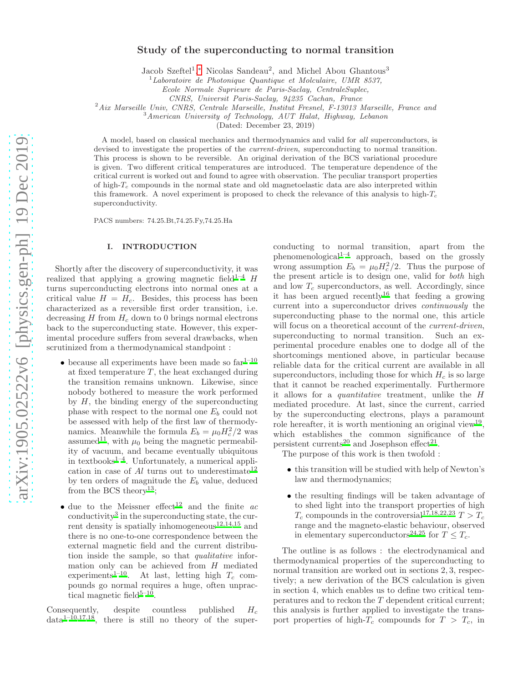# Study of the superconducting to normal transition

Jacob Szeftel<sup>1</sup>,\* Nicolas Sandeau<sup>2</sup>, and Michel Abou Ghantous<sup>3</sup>

 $1$ Laboratoire de Photonique Quantique et Molculaire, UMR 8537,

Ecole Normale Suprieure de Paris-Saclay, CentraleSuplec,

CNRS, Universit Paris-Saclay, 94235 Cachan, France

 $^{2}$ Aix Marseille Univ, CNRS, Centrale Marseille, Institut Fresnel, F-13013 Marseille, France and

 $3$ American University of Technology, AUT Halat, Highway, Lebanon

(Dated: December 23, 2019)

A model, based on classical mechanics and thermodynamics and valid for all superconductors, is devised to investigate the properties of the *current-driven*, superconducting to normal transition. This process is shown to be reversible. An original derivation of the BCS variational procedure is given. Two different critical temperatures are introduced. The temperature dependence of the critical current is worked out and found to agree with observation. The peculiar transport properties of high- $T_c$  compounds in the normal state and old magnetoelastic data are also interpreted within this framework. A novel experiment is proposed to check the relevance of this analysis to high- $T_c$ superconductivity.

PACS numbers: 74.25.Bt,74.25.Fy,74.25.Ha

## I. INTRODUCTION

Shortly after the discovery of superconductivity, it was realized that applying a growing magnetic field<sup>[1](#page-8-1)[–4](#page-8-2)</sup> H turns superconducting electrons into normal ones at a critical value  $H = H_c$ . Besides, this process has been characterized as a reversible first order transition, i.e. decreasing  $H$  from  $H_c$  down to 0 brings normal electrons back to the superconducting state. However, this experimental procedure suffers from several drawbacks, when scrutinized from a thermodynamical standpoint :

- $\bullet$  because all experiments have been made so  $\mathrm{far^{1-10}}$  $\mathrm{far^{1-10}}$  $\mathrm{far^{1-10}}$ at fixed temperature  $T$ , the heat exchanged during the transition remains unknown. Likewise, since nobody bothered to measure the work performed by  $H$ , the binding energy of the superconducting phase with respect to the normal one  $E_b$  could not be assessed with help of the first law of thermodynamics. Meanwhile the formula  $E_b = \mu_0 H_c^2/2$  was assumed<sup>[11](#page-8-4)</sup>, with  $\mu_0$  being the magnetic permeability of vacuum, and became eventually ubiquitous in textbooks $1-4$  $1-4$ . Unfortunately, a numerical application in case of  $Al$  turns out to underestimate<sup>[12](#page-8-5)</sup> by ten orders of magnitude the  $E<sub>b</sub>$  value, deduced from the BCS theory<sup>[13](#page-8-6)</sup>;
- due to the Meissner effect<sup>[12](#page-8-5)</sup> and the finite  $ac$ conductivity<sup>[3](#page-8-7)</sup> in the superconducting state, the cur-rent density is spatially inhomogeneous<sup>[12](#page-8-5)[,14](#page-8-8)[,15](#page-8-9)</sup> and there is no one-to-one correspondence between the external magnetic field and the current distribution inside the sample, so that qualitative information only can be achieved from H mediated experiments<sup>[1](#page-8-1)[–10](#page-8-3)</sup>. At last, letting high  $T_c$  compounds go normal requires a huge, often unpractical magnetic field $5-10$  $5-10$ .

Consequently, despite countless published  $H_c$  $data^{1-\hat{1}0,17,18}$  $data^{1-\hat{1}0,17,18}$  $data^{1-\hat{1}0,17,18}$  $data^{1-\hat{1}0,17,18}$  $data^{1-\hat{1}0,17,18}$  $data^{1-\hat{1}0,17,18}$ , there is still no theory of the super-

conducting to normal transition, apart from the phenomenological[1](#page-8-1)[–4](#page-8-2) approach, based on the grossly wrong assumption  $E_b = \mu_0 H_c^2/2$ . Thus the purpose of the present article is to design one, valid for both high and low  $T_c$  superconductors, as well. Accordingly, since it has been argued recently<sup>[16](#page-8-13)</sup> that feeding a growing current into a superconductor drives continuously the superconducting phase to the normal one, this article will focus on a theoretical account of the *current-driven*, superconducting to normal transition. Such an experimental procedure enables one to dodge all of the shortcomings mentioned above, in particular because reliable data for the critical current are available in all superconductors, including those for which  $H_c$  is so large that it cannot be reached experimentally. Furthermore it allows for a quantitative treatment, unlike the H mediated procedure. At last, since the current, carried by the superconducting electrons, plays a paramount role hereafter, it is worth mentioning an original view<sup>[19](#page-8-14)</sup>, which establishes the common significance of the persistent currents<sup>[20](#page-8-15)</sup> and Josephson effect<sup>[21](#page-8-16)</sup>.

The purpose of this work is then twofold :

- this transition will be studied with help of Newton's law and thermodynamics;
- the resulting findings will be taken advantage of to shed light into the transport properties of high  $T_c$  compounds in the controversial<sup>[17](#page-8-11)[,18](#page-8-12)[,22](#page-8-17)[,23](#page-8-18)</sup>  $T > T_c$ range and the magneto-elastic behaviour, observed in elementary superconductors<sup>[24](#page-8-19)[,25](#page-8-20)</sup> for  $T \leq T_c$ .

The outline is as follows : the electrodynamical and thermodynamical properties of the superconducting to normal transition are worked out in sections 2, 3, respectively; a new derivation of the BCS calculation is given in section 4, which enables us to define two critical temperatures and to reckon the T dependent critical current; this analysis is further applied to investigate the transport properties of high- $T_c$  compounds for  $T > T_c$ , in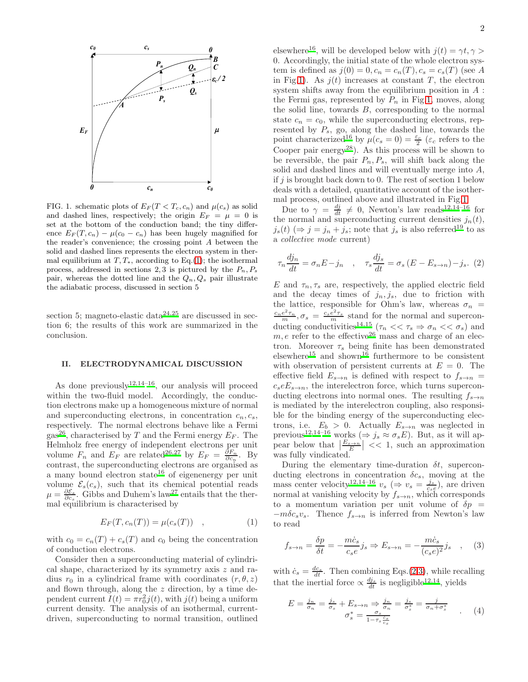

<span id="page-1-1"></span>FIG. 1. schematic plots of  $E_F(T < T_c, c_n)$  and  $\mu(c_s)$  as solid and dashed lines, respectively; the origin  $E_F = \mu = 0$  is set at the bottom of the conduction band; the tiny difference  $E_F(T, c_n) - \mu(c_0 - c_n)$  has been hugely magnified for the reader's convenience; the crossing point A between the solid and dashed lines represents the electron system in thermal equilibrium at  $T, T_*$ , according to Eq.[\(1\)](#page-1-0); the isothermal process, addressed in sections 2, 3 is pictured by the  $P_n, P_s$ pair, whereas the dotted line and the  $Q_n, Q_s$  pair illustrate the adiabatic process, discussed in section 5

section 5; magneto-elastic data $2^{4,25}$  $2^{4,25}$  $2^{4,25}$  are discussed in section 6; the results of this work are summarized in the conclusion.

# II. ELECTRODYNAMICAL DISCUSSION

As done previously  $12,14-16$  $12,14-16$  $12,14-16$ , our analysis will proceed within the two-fluid model. Accordingly, the conduction electrons make up a homogeneous mixture of normal and superconducting electrons, in concentration  $c_n, c_s$ , respectively. The normal electrons behave like a Fermi gas<sup>[26](#page-8-21)</sup>, characterised by T and the Fermi energy  $E_F$ . The Helmholz free energy of independent electrons per unit volume  $F_n$  and  $E_F$  are related<sup>[26](#page-8-21)[,27](#page-8-22)</sup> by  $E_F = \frac{\partial F_n}{\partial c_n}$ . By contrast, the superconducting electrons are organised as a many bound electron state<sup>[16](#page-8-13)</sup> of eigenenergy per unit volume  $\mathcal{E}_s(c_s)$ , such that its chemical potential reads  $\mu = \frac{\partial \mathcal{E}_s}{\partial c_s}$ . Gibbs and Duhem's law<sup>[27](#page-8-22)</sup> entails that the thermal equilibrium is characterised by

<span id="page-1-0"></span>
$$
E_F(T, c_n(T)) = \mu(c_s(T)) \quad , \tag{1}
$$

with  $c_0 = c_n(T) + c_s(T)$  and  $c_0$  being the concentration of conduction electrons.

Consider then a superconducting material of cylindrical shape, characterized by its symmetry axis z and radius  $r_0$  in a cylindrical frame with coordinates  $(r, \theta, z)$ and flown through, along the  $z$  direction, by a time dependent current  $I(t) = \pi r_0^2 j(t)$ , with  $j(t)$  being a uniform current density. The analysis of an isothermal, currentdriven, superconducting to normal transition, outlined

elsewhere<sup>[16](#page-8-13)</sup>, will be developed below with  $j(t) = \gamma t, \gamma >$ 0. Accordingly, the initial state of the whole electron system is defined as  $j(0) = 0, c_n = c_n(T), c_s = c_s(T)$  (see A in Fig[.1\)](#page-1-1). As  $j(t)$  increases at constant T, the electron system shifts away from the equilibrium position in A : the Fermi gas, represented by  $P_n$  in Fig[.1,](#page-1-1) moves, along the solid line, towards  $B$ , corresponding to the normal state  $c_n = c_0$ , while the superconducting electrons, represented by  $P_s$ , go, along the dashed line, towards the point characterized<sup>[16](#page-8-13)</sup> by  $\mu(c_s = 0) = \frac{\varepsilon_c}{2}$  ( $\varepsilon_c$  refers to the Cooper pair energy<sup>[28](#page-8-23)</sup>). As this process will be shown to be reversible, the pair  $P_n, P_s$ , will shift back along the solid and dashed lines and will eventually merge into A, if  $j$  is brought back down to 0. The rest of section 1 below deals with a detailed, quantitative account of the isothermal process, outlined above and illustrated in Fig[.1.](#page-1-1)

Due to  $\gamma = \frac{dj}{dt} \neq 0$ , Newton's law reads<sup>[12](#page-8-5)[,14](#page-8-8)[–16](#page-8-13)</sup> for the normal and superconducting current densities  $j_n(t)$ ,  $j_s(t) \approx j = j_n + j_s$ ; note that  $j_s$  is also referred<sup>[19](#page-8-14)</sup> to as a collective mode current)

<span id="page-1-2"></span>
$$
\tau_n \frac{dj_n}{dt} = \sigma_n E - j_n \quad , \quad \tau_s \frac{dj_s}{dt} = \sigma_s (E - E_{s \to n}) - j_s. \tag{2}
$$

E and  $\tau_n, \tau_s$  are, respectively, the applied electric field and the decay times of  $j_n, j_s$ , due to friction with the lattice, responsible for Ohm's law, whereas  $\sigma_n$  =  $\frac{c_ne^2\tau_n}{m}, \sigma_s = \frac{c_se^2\tau_s}{m}$  stand for the normal and supercon-ducting conductivities<sup>[14](#page-8-8)[,15](#page-8-9)</sup> ( $\tau_n \ll \tau_s \Rightarrow \sigma_n \ll \sigma_s$ ) and  $m, e$  refer to the effective<sup>[26](#page-8-21)</sup> mass and charge of an electron. Moreover  $\tau_s$  being finite has been demonstrated elsewhere<sup>[15](#page-8-9)</sup> and shown<sup>[16](#page-8-13)</sup> furthermore to be consistent with observation of persistent currents at  $E = 0$ . The effective field  $E_{s\to n}$  is defined with respect to  $f_{s\to n}$  =  $c_s e E_{s\rightarrow n}$ , the interelectron force, which turns superconducting electrons into normal ones. The resulting  $f_{s\to n}$ is mediated by the interelectron coupling, also responsible for the binding energy of the superconducting electrons, i.e.  $E_b > 0$ . Actually  $E_{s\to n}$  was neglected in previous<sup>[12](#page-8-5)[,14](#page-8-8)[–16](#page-8-13)</sup> works ( $\Rightarrow$  j<sub>s</sub>  $\approx$   $\sigma_s E$ ). But, as it will appear below that  $\left|\frac{E_{s\to n}}{E}\right| \ll 1$ , such an approximation was fully vindicated.

During the elementary time-duration  $\delta t$ , superconducting electrons in concentration  $\delta c_s$ , moving at the mass center velocity<sup>[12](#page-8-5)[,14](#page-8-8)[–16](#page-8-13)</sup>  $v_s \; (\Rightarrow v_s = \frac{j_s}{c_s \epsilon})$ , are driven normal at vanishing velocity by  $f_{s\to n}$ , which corresponds to a momentum variation per unit volume of  $\delta p =$  $-m\delta c_s v_s$ . Thence  $f_{s\to n}$  is inferred from Newton's law to read

<span id="page-1-3"></span>
$$
f_{s \to n} = \frac{\delta p}{\delta t} = -\frac{m\dot{c}_s}{c_s e} j_s \Rightarrow E_{s \to n} = -\frac{m\dot{c}_s}{(c_s e)^2} j_s \quad , \quad (3)
$$

with  $\dot{c}_s = \frac{dc_s}{dt}$ . Then combining Eqs.[\(2](#page-1-2)[,3\)](#page-1-3), while recalling that the inertial force  $\propto \frac{dj_s}{dt}$  is negligible<sup>[12](#page-8-5)[,14](#page-8-8)</sup>, yields

<span id="page-1-4"></span>
$$
E = \frac{j_n}{\sigma_n} = \frac{j_s}{\sigma_s} + E_{s \to n} \Rightarrow \frac{j_n}{\sigma_n} = \frac{j_s}{\sigma_s^*} = \frac{j}{\sigma_n + \sigma_s^*}
$$
  

$$
\sigma_s^* = \frac{\sigma_s}{1 - \tau_s \frac{\dot{c}_s}{c_s}}
$$
 (4)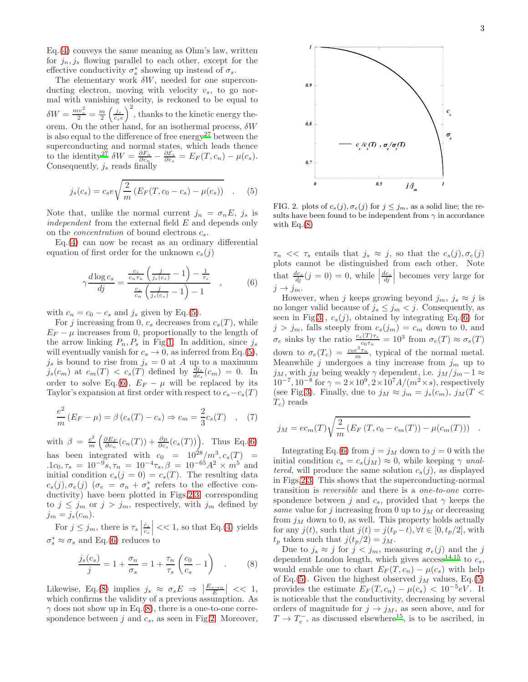Eq.[\(4\)](#page-1-4) conveys the same meaning as Ohm's law, written for  $j_n, j_s$  flowing parallel to each other, except for the effective conductivity  $\sigma_s^*$  showing up instead of  $\sigma_s$ .

The elementary work  $\delta W$ , needed for one superconducting electron, moving with velocity  $v_s$ , to go normal with vanishing velocity, is reckoned to be equal to  $\delta W = \frac{mv_s^2}{2} = \frac{m}{2} \left(\frac{j_s}{c_s e}\right)^2$ , thanks to the kinetic energy theorem. On the other hand, for an isothermal process,  $\delta W$ is also equal to the difference of free energy<sup>[27](#page-8-22)</sup> between the superconducting and normal states, which leads thence to the identity<sup>[27](#page-8-22)</sup>  $\delta W = \frac{\partial F_n}{\partial c_n} - \frac{\partial \mathcal{E}_s}{\partial c_s} = E_F(T, c_n) - \mu(c_s).$ Consequently,  $j_s$  reads finally

<span id="page-2-0"></span>
$$
j_s(c_s) = c_s e \sqrt{\frac{2}{m} \left( E_F(T, c_0 - c_s) - \mu(c_s) \right)} \quad . \tag{5}
$$

Note that, unlike the normal current  $j_n = \sigma_n E$ ,  $j_s$  is independent from the external field E and depends only on the *concentration* of bound electrons  $c_s$ .

Eq.[\(4\)](#page-1-4) can now be recast as an ordinary differential equation of first order for the unknown  $c_s(j)$ 

<span id="page-2-1"></span>
$$
\gamma \frac{d \log c_s}{d j} = \frac{\frac{c_s}{c_n \tau_n} \left(\frac{j}{j_s(c_s)} - 1\right) - \frac{1}{\tau_s}}{\frac{c_s}{c_n} \left(\frac{j}{j_s(c_s)} - 1\right) - 1}, \qquad (6)
$$

with  $c_n = c_0 - c_s$  and  $j_s$  given by Eq.[\(5\)](#page-2-0).

For j increasing from 0,  $c_s$  decreases from  $c_s(T)$ , while  $E_F - \mu$  increases from 0, proportionally to the length of the arrow linking  $P_n, P_s$  in Fig[.1.](#page-1-1) In addition, since  $j_s$ will eventually vanish for  $c_s \to 0$ , as inferred from Eq.[\(5\)](#page-2-0),  $j_s$  is bound to rise from  $j_s = 0$  at A up to a maximum  $j_s(c_m)$  at  $c_m(T) < c_s(T)$  defined by  $\frac{dj_s}{dc_s}(c_m) = 0$ . In order to solve Eq.[\(6\)](#page-2-1),  $E_F - \mu$  will be replaced by its Taylor's expansion at first order with respect to  $c_s - c_s(T)$ 

$$
\frac{e^2}{m}(E_F - \mu) = \beta (c_s(T) - c_s) \Rightarrow c_m = \frac{2}{3}c_s(T) , \quad (7)
$$

with  $\beta = \frac{e^2}{m}$  $\frac{e^2}{m} \left( \frac{\partial E_F}{\partial c_n} (c_n(T)) + \frac{\partial \mu}{\partial c_s} (c_s(T)) \right)$ . Thus Eq.[\(6\)](#page-2-1) has been integrated with  $c_0 = 10^{28}/m^3, c_s(T) =$  $1c_0, \tau_s = 10^{-9} s, \tau_n = 10^{-4} \tau_s, \beta = 10^{-65} A^2 \times m^5$  and initial condition  $c_s(j = 0) = c_s(T)$ . The resulting data  $c_s(j), \sigma_e(j)$  ( $\sigma_e = \sigma_n + \sigma_s^*$  refers to the effective conductivity) have been plotted in Figs[.2](#page-2-2)[,3,](#page-3-0) corresponding to  $j \leq j_m$  or  $j > j_m$ , respectively, with  $j_m$  defined by  $j_m = j_s(c_m)$ .

For  $j \leq j_m$ , there is  $\tau_s$  $\left| \frac{\dot{c}_s}{c_s} \right|$  << 1, so that Eq.[\(4\)](#page-1-4) yields  $\sigma_s^* \approx \sigma_s$  and Eq.[\(6\)](#page-2-1) reduces to

<span id="page-2-3"></span>
$$
\frac{j_s(c_s)}{j} = 1 + \frac{\sigma_n}{\sigma_s} = 1 + \frac{\tau_n}{\tau_s} \left(\frac{c_0}{c_s} - 1\right) \quad . \tag{8}
$$

Likewise, Eq.[\(8\)](#page-2-3) implies  $j_s \approx \sigma_s E \Rightarrow \left| \frac{E_{s \to n}}{E} \right| \ll 1$ , which confirms the validity of a previous assumption. As  $\gamma$  does not show up in Eq.[\(8\)](#page-2-3), there is a one-to-one correspondence between  $j$  and  $c_s$ , as seen in Fig[.2.](#page-2-2) Moreover,



<span id="page-2-2"></span>FIG. 2. plots of  $c_s(j)$ ,  $\sigma_e(j)$  for  $j \leq j_m$ , as a solid line; the results have been found to be independent from  $\gamma$  in accordance with  $Eq.(8)$  $Eq.(8)$ 

 $\tau_n \ll \tau_s$  entails that  $j_s \approx j$ , so that the  $c_s(j), \sigma_e(j)$ plots cannot be distinguished from each other. Note that  $\frac{dc_s}{dj}(j=0) = 0$ , while  $\left. \frac{dc_s}{dj} \right|$  becomes very large for  $j \rightarrow j_m$ .

However, when j keeps growing beyond  $j_m$ ,  $j_s \approx j$  is no longer valid because of  $j_s \leq j_m < j$ . Consequently, as seen in Fig[.3](#page-3-0) ,  $c_s(j)$ , obtained by integrating Eq.[\(6\)](#page-2-1) for  $j > j_m$ , falls steeply from  $c_s(j_m) = c_m$  down to 0, and  $\sigma_e$  sinks by the ratio  $\frac{c_s(T)\tau_s}{c_0\tau_n} = 10^3$  from  $\sigma_e(T) \approx \sigma_s(T)$ down to  $\sigma_e(T_c) = \frac{c_0 e^2 \tau_n}{m}$ , typical of the normal metal. Meanwhile  $j$  undergoes a tiny increase from  $j_m$  up to  $j_M$ , with  $j_M$  being weakly  $\gamma$  dependent, i.e.  $j_M / j_m - 1 \approx$  $10^{-7}$ ,  $10^{-8}$  for  $\gamma = 2 \times 10^{9}$ ,  $2 \times 10^{7} A/(m^{2} \times s)$ , respectively (see Fig[.3\)](#page-3-0). Finally, due to  $j_M \approx j_m = j_s(c_m)$ ,  $j_M(T \leq$  $T_c$ ) reads

$$
j_M = ec_m(T)\sqrt{\frac{2}{m} (E_F(T, c_0 - c_m(T)) - \mu(c_m(T)))} .
$$

Integrating Eq.[\(6\)](#page-2-1) from  $j = j_M$  down to  $j = 0$  with the initial condition  $c_s = c_s(j_M) \approx 0$ , while keeping  $\gamma$  unaltered, will produce the same solution  $c_s(i)$ , as displayed in Figs[.2,](#page-2-2)[3.](#page-3-0) This shows that the superconducting-normal transition is reversible and there is a one-to-one correspondence between j and  $c_s$ , provided that  $\gamma$  keeps the same value for j increasing from 0 up to  $j<sub>M</sub>$  or decreasing from  $j_M$  down to 0, as well. This property holds actually for any  $j(t)$ , such that  $j(t) = j(t_p - t)$ ,  $\forall t \in [0, t_p/2]$ , with  $t_p$  taken such that  $j(t_p/2) = j_M$ .

Due to  $j_s \approx j$  for  $j < j_m$ , measuring  $\sigma_e(j)$  and the j dependent London length, which gives  $\arccos^{14,15}$  $\arccos^{14,15}$  $\arccos^{14,15}$  $\arccos^{14,15}$  to  $c_s$ , would enable one to chart  $E_F(T, c_n) - \mu(c_s)$  with help of Eq.[\(5\)](#page-2-0). Given the highest observed  $j<sub>M</sub>$  values, Eq.(5) provides the estimate  $E_F(T, c_n) - \mu(c_s) < 10^{-5} eV$ . It is noticeable that the conductivity, decreasing by several orders of magnitude for  $j \rightarrow j_M$ , as seen above, and for  $T \rightarrow T_c^-$ , as discussed elsewhere<sup>[15](#page-8-9)</sup>, is to be ascribed, in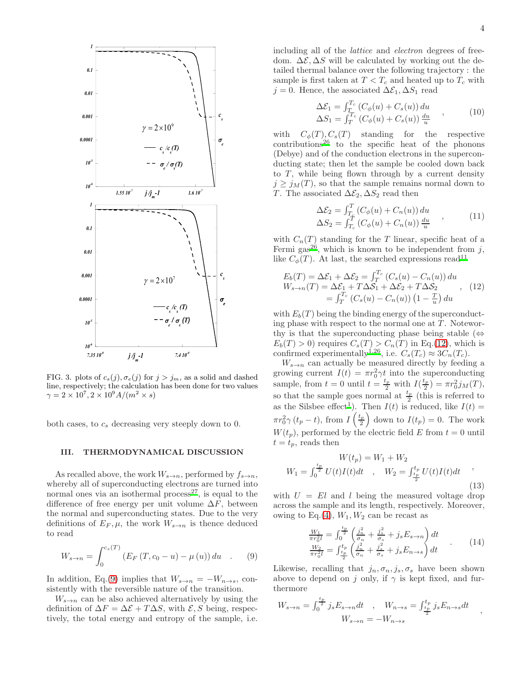

<span id="page-3-0"></span>FIG. 3. plots of  $c_s(j)$ ,  $\sigma_e(j)$  for  $j > j_m$ , as a solid and dashed line, respectively; the calculation has been done for two values  $\gamma = 2 \times 10^7, 2 \times 10^9 A/(m^2 \times s)$ 

both cases, to  $c_s$  decreasing very steeply down to 0.

### III. THERMODYNAMICAL DISCUSSION

As recalled above, the work  $W_{s\to n}$ , performed by  $f_{s\to n}$ , whereby all of superconducting electrons are turned into normal ones via an isothermal process<sup>[27](#page-8-22)</sup>, is equal to the difference of free energy per unit volume  $\Delta F$ , between the normal and superconducting states. Due to the very definitions of  $E_F, \mu$ , the work  $W_{s\to n}$  is thence deduced to read

<span id="page-3-1"></span>
$$
W_{s \to n} = \int_0^{c_s(T)} \left( E_F(T, c_0 - u) - \mu(u) \right) du \quad . \tag{9}
$$

In addition, Eq.[\(9\)](#page-3-1) implies that  $W_{s\to n} = -W_{n\to s}$ , consistently with the reversible nature of the transition.

 $W_{s\rightarrow n}$  can be also achieved alternatively by using the definition of  $\Delta F = \Delta \mathcal{E} + T \Delta S$ , with  $\mathcal{E}, S$  being, respectively, the total energy and entropy of the sample, i.e.

including all of the lattice and electron degrees of freedom.  $\Delta \mathcal{E}, \Delta S$  will be calculated by working out the detailed thermal balance over the following trajectory : the sample is first taken at  $T < T_c$  and heated up to  $T_c$  with  $j = 0$ . Hence, the associated  $\Delta \mathcal{E}_1, \Delta S_1$  read

$$
\Delta \mathcal{E}_1 = \int_{T}^{T_c} \left( C_{\phi}(u) + C_s(u) \right) du
$$
  
\n
$$
\Delta S_1 = \int_{T}^{T_c} \left( C_{\phi}(u) + C_s(u) \right) \frac{du}{u}
$$
\n(10)

with  $C_{\phi}(T), C_s(T)$  standing for the respective  $\text{contributions}^{26}$  $\text{contributions}^{26}$  $\text{contributions}^{26}$  to the specific heat of the phonons (Debye) and of the conduction electrons in the superconducting state; then let the sample be cooled down back to  $T$ , while being flown through by a current density  $j \geq j_M(T)$ , so that the sample remains normal down to T. The associated  $\Delta \mathcal{E}_2$ ,  $\Delta S_2$  read then

$$
\Delta \mathcal{E}_2 = \int_{T_c}^{T} (C_{\phi}(u) + C_n(u)) du
$$
  
\n
$$
\Delta S_2 = \int_{T_c}^{T} (C_{\phi}(u) + C_n(u)) \frac{du}{u}
$$
\n(11)

with  $C_n(T)$  standing for the T linear, specific heat of a Fermi gas<sup>[26](#page-8-21)</sup>, which is known to be independent from  $j$ , like  $C_{\phi}(T)$ . At last, the searched expressions read<sup>[11](#page-8-4)</sup>

<span id="page-3-2"></span>
$$
E_b(T) = \Delta \mathcal{E}_1 + \Delta \mathcal{E}_2 = \int_T^{T_c} (C_s(u) - C_n(u)) du
$$
  
\n
$$
W_{s \to n}(T) = \Delta \mathcal{E}_1 + T \Delta \mathcal{S}_1 + \Delta \mathcal{E}_2 + T \Delta \mathcal{S}_2,
$$
  
\n
$$
= \int_T^{T_c} (C_s(u) - C_n(u)) (1 - \frac{T}{u}) du
$$
\n(12)

with  $E<sub>b</sub>(T)$  being the binding energy of the superconducting phase with respect to the normal one at  $T$ . Noteworthy is that the superconducting phase being stable  $(\Leftrightarrow$  $E_b(T) > 0$ ) requires  $C_s(T) > C_n(T)$  in Eq.[\(12\)](#page-3-2), which is confirmed experimentally<sup>[1](#page-8-1)[,26](#page-8-21)</sup>, i.e.  $C_s(T_c) \approx 3C_n(T_c)$ .

 $W_{s\rightarrow n}$  can actually be measured directly by feeding a growing current  $I(t) = \pi r_0^2 \gamma t$  into the superconducting sample, from  $t = 0$  until  $t = \frac{t_p}{2}$  with  $I(\frac{t_p}{2})$  $(\frac{L_p}{2}) = \pi r_0^2 j_M(T),$ so that the sample goes normal at  $\frac{t_p}{2}$  (this is referred to as the Silsbee effect<sup>[1](#page-8-1)</sup>). Then  $I(t)$  is reduced, like  $I(t)$  =  $\pi r_0^2 \gamma (t_p - t)$ , from  $I\left(\frac{t_p}{2}\right)$  $\left(\frac{t_p}{2}\right)$  down to  $I(t_p) = 0$ . The work  $W(t_p)$ , performed by the electric field E from  $t = 0$  until  $t = t_p$ , reads then

$$
W(t_p) = W_1 + W_2
$$
  
\n
$$
W_1 = \int_0^{\frac{t_p}{2}} U(t)I(t)dt \quad , \quad W_2 = \int_{\frac{t_p}{2}}^{t_p} U(t)I(t)dt \quad , \tag{13}
$$

with  $U = El$  and l being the measured voltage drop across the sample and its length, respectively. Moreover, owing to Eq.[\(4\)](#page-1-4),  $W_1, W_2$  can be recast as

$$
\frac{W_1}{\pi r_0^2 l} = \int_0^{\frac{t_p}{2}} \left( \frac{j_n^2}{\sigma_n} + \frac{j_s^2}{\sigma_s} + j_s E_{s \to n} \right) dt
$$
\n
$$
\frac{W_2}{\pi r_0^2 l} = \int_{\frac{t_p}{2}}^{t_p} \left( \frac{j_n^2}{\sigma_n} + \frac{j_s^2}{\sigma_s} + j_s E_{n \to s} \right) dt
$$
\n(14)

Likewise, recalling that  $j_n, \sigma_n, j_s, \sigma_s$  have been shown above to depend on j only, if  $\gamma$  is kept fixed, and furthermore

$$
W_{s \to n} = \int_0^{\frac{t_p}{2}} j_s E_{s \to n} dt \quad , \quad W_{n \to s} = \int_{\frac{t_p}{2}}^{t_p} j_s E_{n \to s} dt \quad ,
$$
  

$$
W_{s \to n} = -W_{n \to s}
$$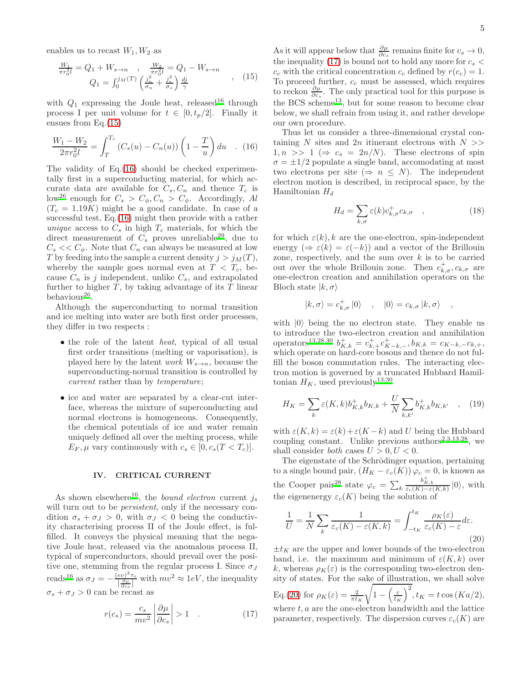enables us to recast  $W_1, W_2$  as

<span id="page-4-0"></span>
$$
\frac{W_1}{\pi r_0^2 l} = Q_1 + W_{s \to n} , \quad \frac{W_2}{\pi r_0^2 l} = Q_1 - W_{s \to n}
$$
  

$$
Q_1 = \int_0^{j_M(T)} \left( \frac{j_n^2}{\sigma_n} + \frac{j_s^2}{\sigma_s} \right) \frac{dj}{\gamma} , \quad (15)
$$

with  $Q_1$  expressing the Joule heat, released<sup>[16](#page-8-13)</sup> through process I per unit volume for  $t \in [0, t_p/2]$ . Finally it ensues from Eq.[\(15\)](#page-4-0)

<span id="page-4-1"></span>
$$
\frac{W_1 - W_2}{2\pi r_0^2 l} = \int_T^{T_c} (C_s(u) - C_n(u)) \left(1 - \frac{T}{u}\right) du \quad . \quad (16)
$$

The validity of Eq.[\(16\)](#page-4-1) should be checked experimentally first in a superconducting material, for which accurate data are available for  $C_s$ ,  $C_n$  and thence  $T_c$  is low<sup>[26](#page-8-21)</sup> enough for  $C_s > C_\phi, C_n > C_\phi$ . Accordingly, Al  $(T_c = 1.19K)$  might be a good candidate. In case of a successful test, Eq.[\(16\)](#page-4-1) might then provide with a rather unique access to  $C_s$  in high  $T_c$  materials, for which the direct measurement of  $C_s$  proves unreliable<sup>[29](#page-8-24)</sup>, due to  $C_s \ll C_\phi$ . Note that  $C_n$  can always be measured at low T by feeding into the sample a current density  $j > j<sub>M</sub>(T)$ , whereby the sample goes normal even at  $T < T_c$ , because  $C_n$  is j independent, unlike  $C_s$ , and extrapolated further to higher  $T$ , by taking advantage of its  $T$  linear behaviour<sup>[26](#page-8-21)</sup>.

Although the superconducting to normal transition and ice melting into water are both first order processes, they differ in two respects :

- the role of the latent *heat*, typical of all usual first order transitions (melting or vaporisation), is played here by the latent *work*  $W_{s\rightarrow n}$ , because the superconducting-normal transition is controlled by current rather than by temperature;
- ice and water are separated by a clear-cut interface, whereas the mixture of superconducting and normal electrons is homogeneous. Consequently, the chemical potentials of ice and water remain uniquely defined all over the melting process, while  $E_F$ ,  $\mu$  vary continuously with  $c_s \in [0, c_s(T < T_c)].$

### IV. CRITICAL CURRENT

As shown elsewhere<sup>[16](#page-8-13)</sup>, the *bound electron* current  $j_s$ will turn out to be *persistent*, only if the necessary condition  $\sigma_s + \sigma_J > 0$ , with  $\sigma_J < 0$  being the conductivity characterising process II of the Joule effect, is fulfilled. It conveys the physical meaning that the negative Joule heat, released via the anomalous process II, typical of superconductors, should prevail over the positive one, stemming from the regular process I. Since  $\sigma_J$ reads<sup>[16](#page-8-13)</sup> as  $\sigma_J = -\frac{(ev)^2 \tau_s}{\left|\frac{\partial \mu}{\partial r}\right|}$  $\frac{(ev)^2 \tau_s}{\frac{\partial \mu}{\partial c_s}}$  with  $mv^2 \approx 1eV$ , the inequality  $\sigma_s + \sigma_J > 0$  can be recast as

<span id="page-4-2"></span>
$$
r(c_s) = \frac{c_s}{mv^2} \left| \frac{\partial \mu}{\partial c_s} \right| > 1 \quad . \tag{17}
$$

As it will appear below that  $\frac{\partial \mu}{\partial c_s}$  remains finite for  $c_s \to 0$ , the inequality [\(17\)](#page-4-2) is bound not to hold any more for  $c_s$  <  $c_c$  with the critical concentration  $c_c$  defined by  $r(c_c) = 1$ . To proceed further,  $c_c$  must be assessed, which requires to reckon  $\frac{\partial \mu}{\partial c_s}$ . The only practical tool for this purpose is the BCS scheme<sup>[13](#page-8-6)</sup>, but for some reason to become clear below, we shall refrain from using it, and rather develope our own procedure.

Thus let us consider a three-dimensional crystal containing N sites and  $2n$  itinerant electrons with  $N \gg$  $1, n \gg 1 \ (\Rightarrow c_s = 2n/N)$ . These electrons of spin  $\sigma = \pm 1/2$  populate a single band, accomodating at most two electrons per site ( $\Rightarrow n \leq N$ ). The independent electron motion is described, in reciprocal space, by the Hamiltonian  $H_d$ 

$$
H_d = \sum_{k,\sigma} \varepsilon(k) c_{k,\sigma}^+ c_{k,\sigma} \quad , \tag{18}
$$

for which  $\varepsilon(k)$ , k are the one-electron, spin-independent energy  $(\Rightarrow \varepsilon(k) = \varepsilon(-k))$  and a vector of the Brillouin zone, respectively, and the sum over  $k$  is to be carried out over the whole Brillouin zone. Then  $c^+_{k,\sigma}, c_{k,\sigma}$  are one-electron creation and annihilation operators on the Bloch state  $|k, \sigma\rangle$ 

$$
|k,\sigma\rangle=c_{k,\sigma}^+|0\rangle \quad , \quad |0\rangle=c_{k,\sigma}\,|k,\sigma\rangle \quad ,
$$

with  $|0\rangle$  being the no electron state. They enable us to introduce the two-electron creation and annihilation operators<sup>[13](#page-8-6)[,28](#page-8-23)[,30](#page-8-25)</sup>  $b_{K,k}^+ = c_{K,+}^+ c_{K-k,-}^+$ ,  $b_{K,k} = c_{K-k,-} c_{k,+}$ , which operate on hard-core bosons and thence do not fulfill the boson commutation rules. The interacting electron motion is governed by a truncated Hubbard Hamiltonian  $H_K$ , used previously<sup>[13](#page-8-6)[,30](#page-8-25)</sup>

$$
H_K = \sum_{k} \varepsilon(K, k) b_{K, k}^+ b_{K, k} + \frac{U}{N} \sum_{k, k'} b_{K, k}^+ b_{K, k'} \quad , \quad (19)
$$

with  $\varepsilon(K, k) = \varepsilon(k) + \varepsilon(K - k)$  and U being the Hubbard coupling constant. Unlike previous authors<sup>[2](#page-8-26)[,3](#page-8-7)[,13](#page-8-6)[,28](#page-8-23)</sup>, we shall consider *both* cases  $U > 0, U < 0$ .

The eigenstate of the Schrödinger equation, pertaining to a single bound pair,  $(H_K - \varepsilon_c(K)) \varphi_c = 0$ , is known as the Cooper pair<sup>[28](#page-8-23)</sup> state  $\varphi_c = \sum_k$  $\frac{b_{K,k}^+}{\varepsilon_c(K)-\varepsilon(K,k)}$  |0\, with the eigenenergy  $\varepsilon_c(K)$  being the solution of

<span id="page-4-3"></span>
$$
\frac{1}{U} = \frac{1}{N} \sum_{k} \frac{1}{\varepsilon_c(K) - \varepsilon(K, k)} = \int_{-t_K}^{t_K} \frac{\rho_K(\varepsilon)}{\varepsilon_c(K) - \varepsilon} d\varepsilon.
$$
\n(20)

 $\pm t_K$  are the upper and lower bounds of the two-electron band, i.e. the maximum and minimum of  $\varepsilon(K, k)$  over k, whereas  $\rho_K(\varepsilon)$  is the corresponding two-electron density of states. For the sake of illustration, we shall solve Eq.[\(20\)](#page-4-3) for  $\rho_K(\varepsilon) = \frac{2}{\pi t_K}$ <sup>1</sup>  $1 - \left(\frac{\varepsilon}{t_K}\right)^2, t_K = t \cos(Ka/2),$ where  $t, a$  are the one-electron bandwidth and the lattice parameter, respectively. The dispersion curves  $\varepsilon_c(K)$  are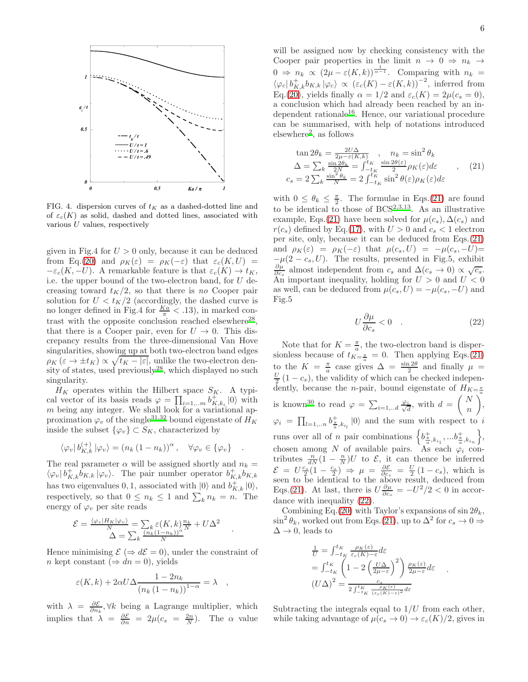

FIG. 4. dispersion curves of  $t_K$  as a dashed-dotted line and of  $\varepsilon_c(K)$  as solid, dashed and dotted lines, associated with various  $U$  values, respectively

given in Fig.4 for  $U > 0$  only, because it can be deduced from Eq.[\(20\)](#page-4-3) and  $\rho_K(\varepsilon) = \rho_K(-\varepsilon)$  that  $\varepsilon_c(K, U) =$  $-\varepsilon_c(K, -U)$ . A remarkable feature is that  $\varepsilon_c(K) \to t_K$ , i.e. the upper bound of the two-electron band, for  $U$  decreasing toward  $t_K/2$ , so that there is no Cooper pair solution for  $U < t_K/2$  (accordingly, the dashed curve is no longer defined in Fig.4 for  $\frac{Ka}{\pi} < .13$ , in marked con-trast with the opposite conclusion reached elsewhere<sup>[28](#page-8-23)</sup>, that there is a Cooper pair, even for  $U \rightarrow 0$ . This discrepancy results from the three-dimensional Van Hove singularities, showing up at both two-electron band edges  $\rho_K(\varepsilon \to \pm t_K) \propto \sqrt{t_K - |\varepsilon|}$ , unlike the two-electron density of states, used previously  $2^8$ , which displayed no such singularity.

 $H_K$  operates within the Hilbert space  $S_K$ . A typical vector of its basis reads  $\varphi = \prod_{i=1,\dots m} b_{K,k_i}^+ |0\rangle$  with m being any integer. We shall look for a variational approximation  $\varphi_v$  of the single<sup>[31](#page-8-27)[,32](#page-8-28)</sup> bound eigenstate of  $H_K$ inside the subset  $\{\varphi_v\} \subset S_K$ , characterized by

$$
\langle \varphi_v | b_{K,k}^{(+)} | \varphi_v \rangle = (n_k (1 - n_k))^{\alpha}, \quad \forall \varphi_v \in \{ \varphi_v \} \quad .
$$

The real parameter  $\alpha$  will be assigned shortly and  $n_k =$  $\langle \varphi_v | b_{K,k}^{\dagger} b_{K,k} | \varphi_v \rangle$ . The pair number operator  $b_{K,k}^{\dagger} b_{K,k}$ has two eigenvalues 0, 1, associated with  $|0\rangle$  and  $b_{K,k}^{+}|0\rangle$ , respectively, so that  $0 \leq n_k \leq 1$  and  $\sum_k n_k = n$ . The energy of  $\varphi_v$  per site reads

$$
\mathcal{E} = \frac{\langle \varphi_v | H_K | \varphi_v \rangle}{N} = \sum_k \varepsilon(K, k) \frac{n_k}{N} + U \Delta^2
$$

$$
\Delta = \sum_k \frac{(n_k (1 - n_k))^{\alpha}}{N}
$$

.

Hence minimising  $\mathcal{E} (\Rightarrow d\mathcal{E} = 0)$ , under the constraint of n kept constant ( $\Rightarrow dn = 0$ ), yields

$$
\varepsilon(K,k) + 2\alpha U \Delta \frac{1 - 2n_k}{\left(n_k\left(1 - n_k\right)\right)^{1 - \alpha}} = \lambda \quad ,
$$

with  $\lambda = \frac{\partial \mathcal{E}}{\partial n_k}$ ,  $\forall k$  being a Lagrange multiplier, which implies that  $\lambda = \frac{\partial \mathcal{E}}{\partial n} = 2\mu(c_s = \frac{2n}{N})$ . The  $\alpha$  value

will be assigned now by checking consistency with the Cooper pair properties in the limit  $n \to 0 \Rightarrow n_k \to$  $0 \Rightarrow n_k \propto (2\mu - \varepsilon(K,k))^{\frac{1}{\alpha-1}}$ . Comparing with  $n_k =$  $\langle \varphi_c | b_{K,k}^{\dagger} b_{K,k} | \varphi_c \rangle \propto (\varepsilon_c(K) - \varepsilon(K,k))^{-2}$ , inferred from Eq.[\(20\)](#page-4-3), yields finally  $\alpha = 1/2$  and  $\varepsilon_c(K) = 2\mu(c_s = 0)$ , a conclusion which had already been reached by an in-dependent rationale<sup>[16](#page-8-13)</sup>. Hence, our variational procedure can be summarised, with help of notations introduced elsewhere[2](#page-8-26) , as follows

<span id="page-5-0"></span>
$$
\tan 2\theta_k = \frac{2U\Delta}{2\mu - \varepsilon(K,k)}, \quad n_k = \sin^2 \theta_k
$$
  
\n
$$
\Delta = \sum_k \frac{\sin 2\theta_k}{2N} = \int_{-t_K}^{t_K} \frac{\sin 2\theta(\varepsilon)}{2} \rho_K(\varepsilon) d\varepsilon \quad , \quad (21)
$$
  
\n
$$
c_s = 2 \sum_k \frac{\sin^2 \theta_k}{N} = 2 \int_{-t_K}^{t_K} \sin^2 \theta(\varepsilon) \rho_K(\varepsilon) d\varepsilon
$$

with  $0 \leq \theta_k \leq \frac{\pi}{2}$ . The formulae in Eqs.[\(21\)](#page-5-0) are found to be identical to those of  $BCS^{2,3,13}$  $BCS^{2,3,13}$  $BCS^{2,3,13}$  $BCS^{2,3,13}$  $BCS^{2,3,13}$ . As an illustrative example, Eqs.[\(21\)](#page-5-0) have been solved for  $\mu(c_s)$ ,  $\Delta(c_s)$  and  $r(c_s)$  defined by Eq.[\(17\)](#page-4-2), with  $U > 0$  and  $c_s < 1$  electron per site, only, because it can be deduced from Eqs.[\(21\)](#page-5-0) and  $\rho_K(\varepsilon) = \rho_K(-\varepsilon)$  that  $\mu(c_s, U) = -\mu(c_s, -U)$ =  $-\mu(2-c_s, U)$ . The results, presented in Fig.5, exhibit  $\frac{\partial \mu}{\partial c_s}$  almost independent from  $c_s$  and  $\Delta(c_s \to 0) \propto \sqrt{c_s}$ .  $\partial c_s$  annow matched the non-<br>An important inequality, holding for  $U > 0$  and  $U < 0$ as well, can be deduced from  $\mu(c_s, U) = -\mu(c_s, -U)$  and Fig.5

<span id="page-5-1"></span>
$$
U\frac{\partial \mu}{\partial c_s} < 0 \quad . \tag{22}
$$

Note that for  $K = \frac{\pi}{a}$ , the two-electron band is dispersionless because of  $t_{K=\frac{\pi}{a}}=0$ . Then applying Eqs.[\(21\)](#page-5-0) to the  $K = \frac{\pi}{a}$  case gives  $\Delta = \frac{\sin 2\theta}{2}$  and finally  $\mu =$  $\frac{U}{2}(1-c_s)$ , the validity of which can be checked independently, because the *n*-pair, bound eigenstate of  $H_{K=\frac{\pi}{a}}$ is known<sup>[30](#page-8-25)</sup> to read  $\varphi = \sum_{i=1...d} \frac{\varphi_i}{\sqrt{d}}$  $\frac{i}{d}$ , with  $d = \begin{pmatrix} N \\ n \end{pmatrix}$ n  $\bigg),$  $\varphi_i = \prod_{l=1,..n} b_{\frac{\pi}{a},k_{i_l}}^{\dagger} |0\rangle$  and the sum with respect to i runs over all of n pair combinations  $\left\{b^{\pm}_{\frac{\pi}{a},k_{i_1}},...b^{\pm}_{\frac{\pi}{a},k_{i_n}}\right\}$ , chosen among N of available pairs. As each  $\varphi_i$  contributes  $\frac{n}{dN}(1 - \frac{n}{N})U$  to  $\mathcal{E}$ , it can thence be inferred  $\mathcal{E} = U \frac{c_s}{2} (1 - \frac{c_s}{2}) \Rightarrow \mu = \frac{\partial \mathcal{E}}{\partial c_s} = \frac{U}{2} (1 - c_s)$ , which is seen to be identical to the above result, deduced from Eqs.[\(21\)](#page-5-0). At last, there is  $U \frac{\partial \mu}{\partial c_s} = -U^2/2 < 0$  in accordance with inequality [\(22\)](#page-5-1).

Combining Eq.[\(20\)](#page-4-3) with Taylor's expansions of  $\sin 2\theta_k$ ,  $\sin^2 \theta_k$ , worked out from Eqs.[\(21\)](#page-5-0), up to  $\Delta^2$  for  $c_s \to 0 \Rightarrow$  $\Delta \rightarrow 0$ , leads to

$$
\frac{1}{U} = \int_{-t_K}^{t_K} \frac{\rho_K(\varepsilon)}{\varepsilon_c(K) - \varepsilon} d\varepsilon
$$
\n
$$
= \int_{-t_K}^{t_K} \left(1 - 2\left(\frac{U\Delta}{2\mu - \varepsilon}\right)^2\right) \frac{\rho_K(\varepsilon)}{2\mu - \varepsilon} d\varepsilon
$$
\n
$$
(U\Delta)^2 = \frac{c_s}{2\int_{-t_K}^{t_K} \frac{\rho_K(\varepsilon)}{(\varepsilon_c(K) - \varepsilon)^2} d\varepsilon}
$$

.

Subtracting the integrals equal to  $1/U$  from each other, while taking advantage of  $\mu(c_s \to 0) \to \varepsilon_c(K)/2$ , gives in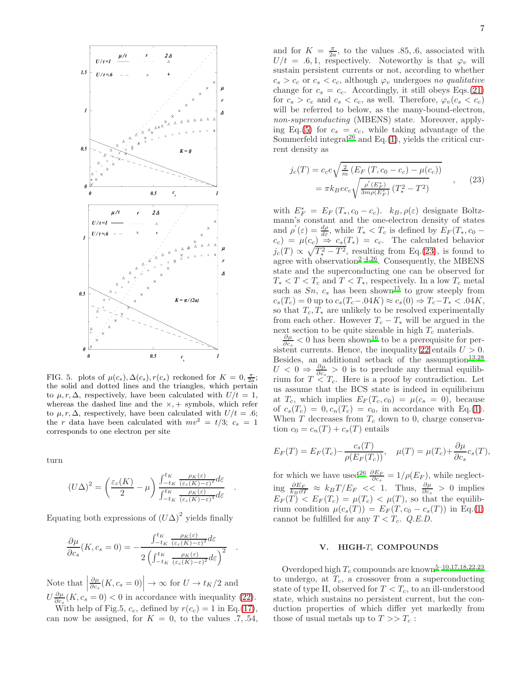

FIG. 5. plots of  $\mu(c_s)$ ,  $\Delta(c_s)$ ,  $r(c_s)$  reckoned for  $K = 0$ ,  $\frac{\pi}{2a}$ ; the solid and dotted lines and the triangles, which pertain to  $\mu, r, \Delta$ , respectively, have been calculated with  $U/t = 1$ , whereas the dashed line and the  $\times$ , + symbols, which refer to  $\mu$ , r,  $\Delta$ , respectively, have been calculated with  $U/t = .6$ ; the r data have been calculated with  $mv^2 = t/3$ ;  $c_s = 1$ corresponds to one electron per site

turn

$$
(U\Delta)^2 = \left(\frac{\varepsilon_c(K)}{2} - \mu\right) \frac{\int_{-t_K}^{t_K} \frac{\rho_K(\varepsilon)}{(\varepsilon_c(K) - \varepsilon)^2} d\varepsilon}{\int_{-t_K}^{t_K} \frac{\rho_K(\varepsilon)}{(\varepsilon_c(K) - \varepsilon)^3} d\varepsilon}
$$

.

.

Equating both expressions of  $(U\Delta)^2$  yields finally

$$
\frac{\partial \mu}{\partial c_s}(K, c_s = 0) = -\frac{\int_{-t_K}^{t_K} \frac{\rho_K(\varepsilon)}{(\varepsilon_c(K) - \varepsilon)^3} d\varepsilon}{2\left(\int_{-t_K}^{t_K} \frac{\rho_K(\varepsilon)}{(\varepsilon_c(K) - \varepsilon)^2} d\varepsilon\right)^2}
$$

Note that  $\Big|$  $\frac{\partial \mu}{\partial c_s}(K, c_s = 0)$   $\rightarrow \infty$  for  $U \rightarrow t_K/2$  and  $U \frac{\partial \mu}{\partial c_s}(K, c_s = 0) < 0$  in accordance with inequality [\(22\)](#page-5-1). With help of Fig.5,  $c_c$ , defined by  $r(c_c) = 1$  in Eq.[\(17\)](#page-4-2),

can now be assigned, for  $K = 0$ , to the values .7, .54,

and for  $K = \frac{\pi}{2a}$ , to the values .85, 6, associated with  $U/t = .6, 1$ , respectively. Noteworthy is that  $\varphi_v$  will sustain persistent currents or not, according to whether  $c_s > c_c$  or  $c_s < c_c$ , although  $\varphi_v$  undergoes no qualitative change for  $c_s = c_c$ . Accordingly, it still obeys Eqs.[\(21\)](#page-5-0) for  $c_s > c_c$  and  $c_s < c_c$ , as well. Therefore,  $\varphi_v(c_s < c_c)$ will be referred to below, as the many-bound-electron, non-superconducting (MBENS) state. Moreover, apply-ing Eq.[\(5\)](#page-2-0) for  $c_s = c_c$ , while taking advantage of the Sommerfeld integral $^{26}$  $^{26}$  $^{26}$  and Eq.[\(1\)](#page-1-0), yields the critical current density as

<span id="page-6-0"></span>
$$
\begin{aligned} j_c(T) &= c_c e \sqrt{\frac{2}{m} \left( E_F \left( T, c_0 - c_c \right) - \mu(c_c) \right)} \\ &= \pi k_B e c_c \sqrt{\frac{\rho'(E_F^*)}{3m\rho(E_F^*)} \left( T_*^2 - T^2 \right)} \end{aligned} \tag{23}
$$

with  $E_F^* = E_F (T_*, c_0 - c_c)$ .  $k_B, \rho(\varepsilon)$  designate Boltzmann's constant and the one-electron density of states and  $\rho'(\varepsilon) = \frac{d\rho}{d\varepsilon}$ , while  $T_* < T_c$  is defined by  $E_F(T_*, c_0 (c_c) = \mu(c_c) \Rightarrow c_s(T_*) = c_c$ . The calculated behavior  $j_c(T) \propto \sqrt{T_*^2 - T^2}$ , resulting from Eq.[\(23\)](#page-6-0), is found to agree with observation<sup>[2](#page-8-26)-4[,26](#page-8-21)</sup>. Consequently, the MBENS state and the superconducting one can be observed for  $T_* < T < T_c$  and  $T < T_*$ , respectively. In a low  $T_c$  metal such as  $Sn, c_s$  has been shown<sup>[15](#page-8-9)</sup> to grow steeply from  $c_s(T_c) = 0$  up to  $c_s(T_c-.04K) \approx c_s(0) \Rightarrow T_c-T_* < .04K$ , so that  $T_c, T_*$  are unlikely to be resolved experimentally from each other. However  $T_c - T_*$  will be argued in the next section to be quite sizeable in high  $T_c$  materials.

 $\frac{\partial \mu}{\partial c_s}$  < 0 has been shown<sup>[16](#page-8-13)</sup> to be a prerequisite for per-sistent currents. Hence, the inequality [22](#page-5-1) entails  $U > 0$ . Besides, an additional setback of the assumption $13,28$  $13,28$  $U < 0 \Rightarrow \frac{\partial \mu}{\partial c_s} > 0$  is to preclude any thermal equilibrium for  $T \leq T_c$ . Here is a proof by contradiction. Let us assume that the BCS state is indeed in equilibrium at  $T_c$ , which implies  $E_F(T_c, c_0) = \mu(c_s = 0)$ , because of  $c_s(T_c) = 0, c_n(T_c) = c_0$ , in accordance with Eq.[\(1\)](#page-1-0). When  $T$  decreases from  $T_c$  down to 0, charge conservation  $c_0 = c_n(T) + c_s(T)$  entails

$$
E_F(T) = E_F(T_c) - \frac{c_s(T)}{\rho(E_F(T_c))}, \quad \mu(T) = \mu(T_c) + \frac{\partial \mu}{\partial c_s} c_s(T),
$$

for which we have used<sup>[26](#page-8-21)</sup>  $\frac{\partial E_F}{\partial c_s} = 1/\rho(E_F)$ , while neglecting  $\frac{\partial E_F}{k_B \partial T}$  ≈  $k_B T/E_F$  << 1. Thus,  $\frac{\partial \mu}{\partial c_s}$  > 0 implies  $E_F(T) < E_F(T_c) = \mu(T_c) < \mu(T)$ , so that the equilibrium condition  $\mu(c_s(T)) = E_F(T, c_0 - c_s(T))$  in Eq.[\(1\)](#page-1-0) cannot be fulfilled for any  $T < T_c$ . Q.E.D.

### V. HIGH- $T_c$  COMPOUNDS

Overdoped high  $T_c$  compounds are known<sup>[5](#page-8-10)[–10](#page-8-3)[,17](#page-8-11)[,18](#page-8-12)[,22](#page-8-17)[,23](#page-8-18)</sup> to undergo, at  $T_c$ , a crossover from a superconducting state of type II, observed for  $T < T_c$ , to an ill-understood state, which sustains no persistent current, but the conduction properties of which differ yet markedly from those of usual metals up to  $T >> T_c$ :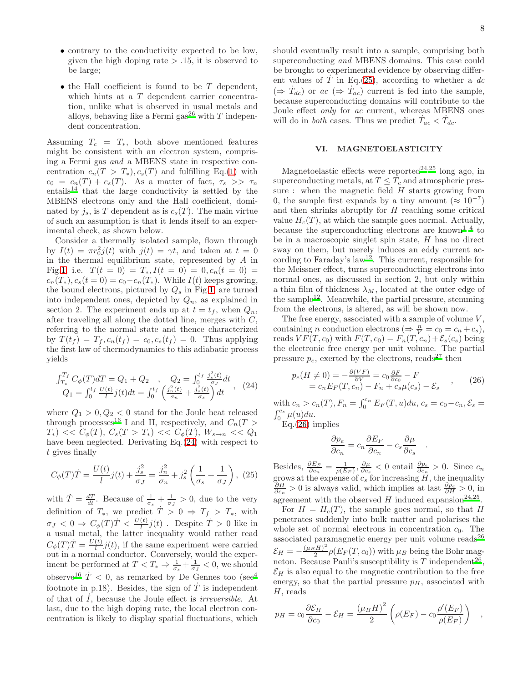- contrary to the conductivity expected to be low, given the high doping rate  $> .15$ , it is observed to be large;
- $\bullet$  the Hall coefficient is found to be  $T$  dependent, which hints at a T dependent carrier concentration, unlike what is observed in usual metals and alloys, behaving like a Fermi gas<sup>[26](#page-8-21)</sup> with  $T$  independent concentration.

Assuming  $T_c = T_*$ , both above mentioned features might be consistent with an electron system, comprising a Fermi gas and a MBENS state in respective concentration  $c_n(T > T_*)$ ,  $c_s(T)$  and fulfilling Eq.[\(1\)](#page-1-0) with  $c_0 = c_n(T) + c_s(T)$ . As a matter of fact,  $\tau_s \gg \tau_n$ entails<sup>[14](#page-8-8)</sup> that the large conductivity is settled by the MBENS electrons only and the Hall coefficient, dominated by  $j_s$ , is T dependent as is  $c_s(T)$ . The main virtue of such an assumption is that it lends itself to an experimental check, as shown below.

Consider a thermally isolated sample, flown through by  $I(t) = \pi r_0^2 j(t)$  with  $j(t) = \gamma t$ , and taken at  $t = 0$ in the thermal equilibrium state, represented by A in Fig[.1,](#page-1-1) i.e.  $T(t = 0) = T_*, I(t = 0) = 0, c_n(t = 0) = 0$  $c_n(T_*)$ ,  $c_s(t=0) = c_0 - c_n(T_*)$ . While  $I(t)$  keeps growing, the bound electrons, pictured by  $Q_s$  in Fig[.1,](#page-1-1) are turned into independent ones, depicted by  $Q_n$ , as explained in section 2. The experiment ends up at  $t = t_f$ , when  $Q_n$ , after traveling all along the dotted line, merges with C, referring to the normal state and thence characterized by  $T(t_f) = T_f$ ,  $c_n(t_f) = c_0$ ,  $c_s(t_f) = 0$ . Thus applying the first law of thermodynamics to this adiabatic process yields

<span id="page-7-0"></span>
$$
\begin{aligned}\n\int_{T_*}^{T_f} C_{\phi}(T) dT &= Q_1 + Q_2 \quad , \quad Q_2 = \int_0^{t_f} \frac{j_s^2(t)}{\sigma_J} dt \\
Q_1 &= \int_0^{t_f} \frac{U(t)}{l} j(t) dt = \int_0^{t_f} \left( \frac{j_n^2(t)}{\sigma_n} + \frac{j_s^2(t)}{\sigma_s} \right) dt \n\end{aligned} \quad (24)
$$

where  $Q_1 > 0, Q_2 < 0$  stand for the Joule heat released through processes<sup>[16](#page-8-13)</sup> I and II, respectively, and  $C_n(T >$  $T_*$ ) <<  $C_{\phi}(T)$ ,  $C_s(T > T_*)$  <<  $C_{\phi}(T)$ ,  $W_{s \to n}$  <<  $Q_1$ have been neglected. Derivating Eq.[\(24\)](#page-7-0) with respect to t gives finally

<span id="page-7-1"></span>
$$
C_{\phi}(T)\dot{T} = \frac{U(t)}{l}j(t) + \frac{j_s^2}{\sigma_J} = \frac{j_n^2}{\sigma_n} + j_s^2 \left(\frac{1}{\sigma_s} + \frac{1}{\sigma_J}\right), (25)
$$

with  $\dot{T} = \frac{dT}{dt}$ . Because of  $\frac{1}{\sigma_s} + \frac{1}{\sigma_J} > 0$ , due to the very definition of  $T_*$ , we predict  $\dot{T} > 0 \Rightarrow T_f > T_*$ , with  $\sigma_J < 0 \Rightarrow C_\phi(T)\dot{T} < \frac{U(t)}{l}j(t)$ . Despite  $\dot{T} > 0$  like in a usual metal, the latter inequality would rather read  $C_{\phi}(T)\dot{T} = \frac{U(t)}{l}j(t)$ , if the same experiment were carried  $\mathcal{O}_{\phi}(1) = \iint_{l} \mathcal{J}(v)$ , it are same experiment were carried<br>out in a normal conductor. Conversely, would the experiment be performed at  $T < T_* \Rightarrow \frac{1}{\sigma_s} + \frac{1}{\sigma_J} < 0$ , we should observe<sup>[16](#page-8-13)</sup>  $\dot{T}$  < 0, as remarked by De Gennes too (see<sup>[4](#page-8-2)</sup>) footnote in p.18). Besides, the sign of  $\dot{T}$  is independent of that of  $\overline{I}$ , because the Joule effect is *irreversible*. At last, due to the high doping rate, the local electron concentration is likely to display spatial fluctuations, which should eventually result into a sample, comprising both superconducting and MBENS domains. This case could be brought to experimental evidence by observing different values of  $\dot{T}$  in Eq.[\(25\)](#page-7-1), according to whether a dc  $(\Rightarrow \dot{T}_{dc})$  or  $ac \ (\Rightarrow \dot{T}_{ac})$  current is fed into the sample, because superconducting domains will contribute to the Joule effect only for ac current, whereas MBENS ones will do in *both* cases. Thus we predict  $\dot{T}_{ac} < \dot{T}_{dc}$ .

# VI. MAGNETOELASTICITY

Magnetoelastic effects were reported<sup>[24](#page-8-19)[,25](#page-8-20)</sup> long ago, in superconducting metals, at  $T \leq T_c$  and atmospheric pressure : when the magnetic field  $H$  starts growing from 0, the sample first expands by a tiny amount  $(\approx 10^{-7})$ and then shrinks abruptly for H reaching some critical value  $H_c(T)$ , at which the sample goes normal. Actually, because the superconducting electrons are known<sup>[1](#page-8-1)[–4](#page-8-2)</sup> to be in a macroscopic singlet spin state,  $H$  has no direct sway on them, but merely induces an eddy current ac-cording to Faraday's law<sup>[12](#page-8-5)</sup>. This current, responsible for the Meissner effect, turns superconducting electrons into normal ones, as discussed in section 2, but only within a thin film of thickness  $\lambda_M$ , located at the outer edge of the sample<sup>[12](#page-8-5)</sup>. Meanwhile, the partial pressure, stemming from the electrons, is altered, as will be shown now.

The free energy, associated with a sample of volume  $V$ , containing *n* conduction electrons ( $\Rightarrow \frac{n}{V} = c_0 = c_n + c_s$ ), reads  $VF(T, c_0)$  with  $F(T, c_0) = F_n(T, c_n) + \mathcal{E}_s(c_s)$  being the electronic free energy per unit volume. The partial pressure  $p_e$ , exerted by the electrons, reads<sup>[27](#page-8-22)</sup> then

<span id="page-7-2"></span>
$$
p_e(H \neq 0) = -\frac{\partial (VF)}{\partial V} = c_0 \frac{\partial F}{\partial c_0} - F
$$
  
=  $c_n E_F(T, c_n) - F_n + c_s \mu(c_s) - \mathcal{E}_s$  (26)

with  $c_n > c_n(T)$ ,  $F_n = \int_0^{c_n} E_F(T, u) du$ ,  $c_s = c_0 - c_n$ ,  $\mathcal{E}_s = \int_0^{c_s} \mu(u) du$ .  $\int_0^{c_s} \mu(u) du.$ 

Eq.[\(26\)](#page-7-2) implies

$$
\frac{\partial p_e}{\partial c_n} = c_n \frac{\partial E_F}{\partial c_n} - c_s \frac{\partial \mu}{\partial c_s}
$$

.

Besides,  $\frac{\partial E_F}{\partial c_n} = \frac{1}{\rho(E_F)}, \frac{\partial \mu}{\partial c_s} < 0$  entail  $\frac{\partial p_e}{\partial c_n} > 0$ . Since  $c_n$ grows at the expense of  $c_s$  for increasing  $H$ , the inequality  $\frac{\partial H}{\partial c_n} > 0$  is always valid, which implies at last  $\frac{\partial p_e}{\partial H} > 0$ , in agreement with the observed  $H$  induced expansion<sup>[24](#page-8-19)[,25](#page-8-20)</sup>.

For  $H = H<sub>c</sub>(T)$ , the sample goes normal, so that H penetrates suddenly into bulk matter and polarises the whole set of normal electrons in concentration  $c_0$ . The associated paramagnetic energy per unit volume reads<sup>[26](#page-8-21)</sup>  $\mathcal{E}_H=-\frac{(\mu_B H)^2}{2}$  $\frac{2H}{2} \rho(E_F(T, c_0))$  with  $\mu_B$  being the Bohr magneton. Because Pauli's susceptibility is  $T$  independent<sup>[26](#page-8-21)</sup>,  $\mathcal{E}_H$  is also equal to the magnetic contribution to the free energy, so that the partial pressure  $p<sub>H</sub>$ , associated with H, reads

$$
p_H = c_0 \frac{\partial \mathcal{E}_H}{\partial c_0} - \mathcal{E}_H = \frac{(\mu_B H)^2}{2} \left( \rho(E_F) - c_0 \frac{\rho'(E_F)}{\rho(E_F)} \right) ,
$$